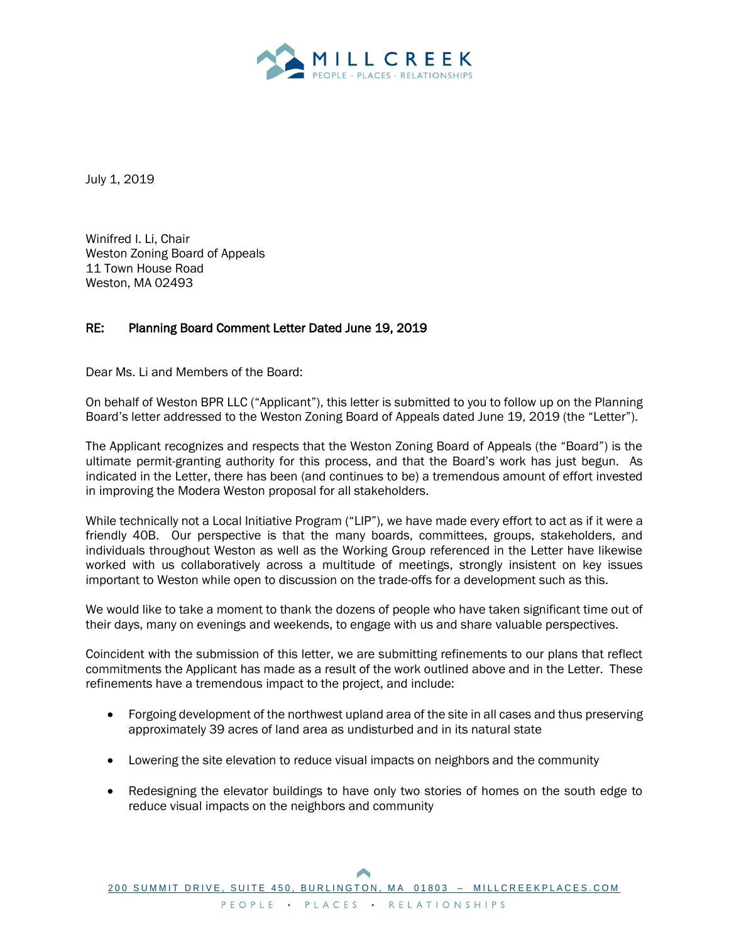

July 1, 2019

Winifred I. Li, Chair Weston Zoning Board of Appeals 11 Town House Road Weston, MA 02493

## RE: Planning Board Comment Letter Dated June 19, 2019

Dear Ms. Li and Members of the Board:

On behalf of Weston BPR LLC ("Applicant"), this letter is submitted to you to follow up on the Planning Board's letter addressed to the Weston Zoning Board of Appeals dated June 19, 2019 (the "Letter").

The Applicant recognizes and respects that the Weston Zoning Board of Appeals (the "Board") is the ultimate permit-granting authority for this process, and that the Board's work has just begun. As indicated in the Letter, there has been (and continues to be) a tremendous amount of effort invested in improving the Modera Weston proposal for all stakeholders.

While technically not a Local Initiative Program ("LIP"), we have made every effort to act as if it were a friendly 40B. Our perspective is that the many boards, committees, groups, stakeholders, and individuals throughout Weston as well as the Working Group referenced in the Letter have likewise worked with us collaboratively across a multitude of meetings, strongly insistent on key issues important to Weston while open to discussion on the trade-offs for a development such as this.

We would like to take a moment to thank the dozens of people who have taken significant time out of their days, many on evenings and weekends, to engage with us and share valuable perspectives.

Coincident with the submission of this letter, we are submitting refinements to our plans that reflect commitments the Applicant has made as a result of the work outlined above and in the Letter. These refinements have a tremendous impact to the project, and include:

- Forgoing development of the northwest upland area of the site in all cases and thus preserving approximately 39 acres of land area as undisturbed and in its natural state
- Lowering the site elevation to reduce visual impacts on neighbors and the community
- Redesigning the elevator buildings to have only two stories of homes on the south edge to reduce visual impacts on the neighbors and community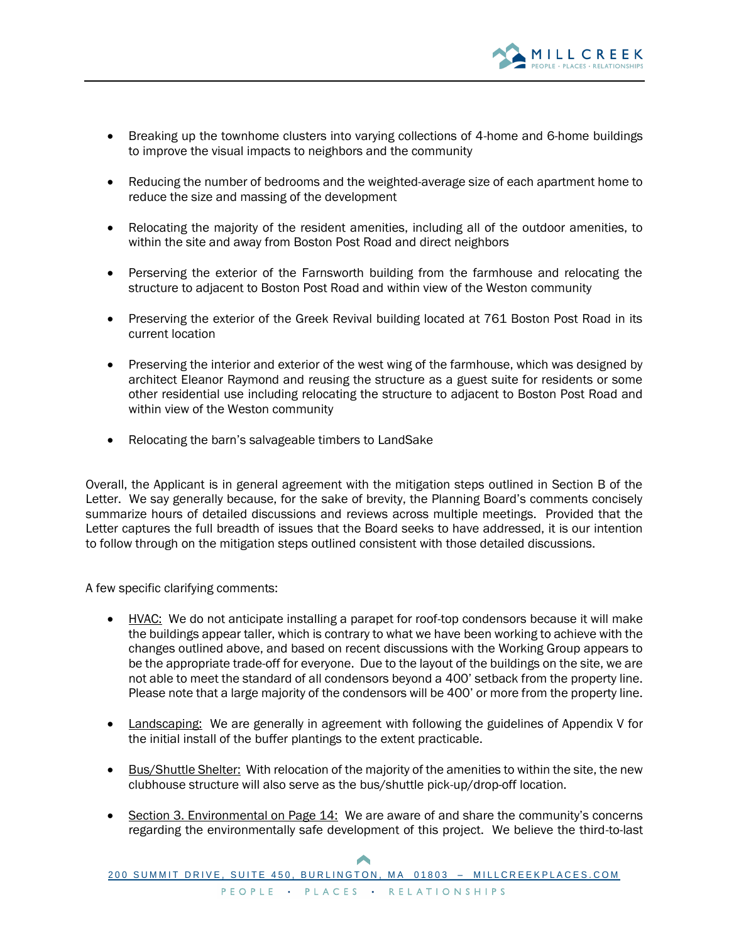

- Breaking up the townhome clusters into varying collections of 4-home and 6-home buildings to improve the visual impacts to neighbors and the community
- Reducing the number of bedrooms and the weighted-average size of each apartment home to reduce the size and massing of the development
- Relocating the majority of the resident amenities, including all of the outdoor amenities, to within the site and away from Boston Post Road and direct neighbors
- Perserving the exterior of the Farnsworth building from the farmhouse and relocating the structure to adjacent to Boston Post Road and within view of the Weston community
- Preserving the exterior of the Greek Revival building located at 761 Boston Post Road in its current location
- Preserving the interior and exterior of the west wing of the farmhouse, which was designed by architect Eleanor Raymond and reusing the structure as a guest suite for residents or some other residential use including relocating the structure to adjacent to Boston Post Road and within view of the Weston community
- Relocating the barn's salvageable timbers to LandSake

Overall, the Applicant is in general agreement with the mitigation steps outlined in Section B of the Letter. We say generally because, for the sake of brevity, the Planning Board's comments concisely summarize hours of detailed discussions and reviews across multiple meetings. Provided that the Letter captures the full breadth of issues that the Board seeks to have addressed, it is our intention to follow through on the mitigation steps outlined consistent with those detailed discussions.

A few specific clarifying comments:

- HVAC: We do not anticipate installing a parapet for roof-top condensors because it will make the buildings appear taller, which is contrary to what we have been working to achieve with the changes outlined above, and based on recent discussions with the Working Group appears to be the appropriate trade-off for everyone. Due to the layout of the buildings on the site, we are not able to meet the standard of all condensors beyond a 400' setback from the property line. Please note that a large majority of the condensors will be 400' or more from the property line.
- Landscaping: We are generally in agreement with following the guidelines of Appendix V for the initial install of the buffer plantings to the extent practicable.
- Bus/Shuttle Shelter: With relocation of the majority of the amenities to within the site, the new clubhouse structure will also serve as the bus/shuttle pick-up/drop-off location.
- Section 3. Environmental on Page 14: We are aware of and share the community's concerns regarding the environmentally safe development of this project. We believe the third-to-last